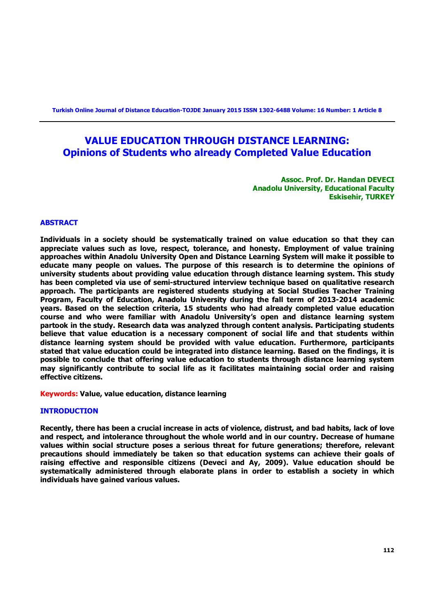**Turkish Online Journal of Distance Education-TOJDE January 2015 ISSN 1302-6488 Volume: 16 Number: 1 Article 8**

# **VALUE EDUCATION THROUGH DISTANCE LEARNING: Opinions of Students who already Completed Value Education**

**Assoc. Prof. Dr. Handan DEVECI Anadolu University, Educational Faculty Eskisehir, TURKEY**

#### **ABSTRACT**

**Individuals in a society should be systematically trained on value education so that they can appreciate values such as love, respect, tolerance, and honesty. Employment of value training approaches within Anadolu University Open and Distance Learning System will make it possible to educate many people on values. The purpose of this research is to determine the opinions of university students about providing value education through distance learning system. This study has been completed via use of semi-structured interview technique based on qualitative research approach. The participants are registered students studying at Social Studies Teacher Training Program, Faculty of Education, Anadolu University during the fall term of 2013-2014 academic years. Based on the selection criteria, 15 students who had already completed value education course and who were familiar with Anadolu University's open and distance learning system partook in the study. Research data was analyzed through content analysis. Participating students believe that value education is a necessary component of social life and that students within distance learning system should be provided with value education. Furthermore, participants stated that value education could be integrated into distance learning. Based on the findings, it is possible to conclude that offering value education to students through distance learning system may significantly contribute to social life as it facilitates maintaining social order and raising effective citizens.** 

**Keywords: Value, value education, distance learning**

#### **INTRODUCTION**

**Recently, there has been a crucial increase in acts of violence, distrust, and bad habits, lack of love and respect, and intolerance throughout the whole world and in our country. Decrease of humane values within social structure poses a serious threat for future generations; therefore, relevant precautions should immediately be taken so that education systems can achieve their goals of raising effective and responsible citizens (Deveci and Ay, 2009). Value education should be systematically administered through elaborate plans in order to establish a society in which individuals have gained various values.**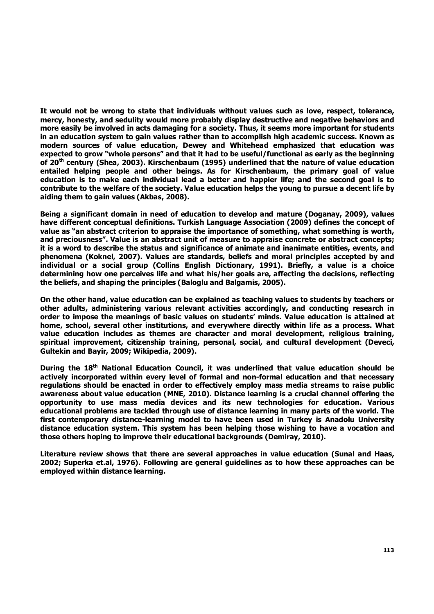**It would not be wrong to state that individuals without values such as love, respect, tolerance, mercy, honesty, and sedulity would more probably display destructive and negative behaviors and more easily be involved in acts damaging for a society. Thus, it seems more important for students in an education system to gain values rather than to accomplish high academic success. Known as modern sources of value education, Dewey and Whitehead emphasized that education was expected to grow "whole persons" and that it had to be useful/functional as early as the beginning of 20th century (Shea, 2003). Kirschenbaum (1995) underlined that the nature of value education entailed helping people and other beings. As for Kirschenbaum, the primary goal of value education is to make each individual lead a better and happier life; and the second goal is to contribute to the welfare of the society. Value education helps the young to pursue a decent life by aiding them to gain values (Akbas, 2008).** 

**Being a significant domain in need of education to develop and mature (Doganay, 2009), values have different conceptual definitions. Turkish Language Association (2009) defines the concept of value as "an abstract criterion to appraise the importance of something, what something is worth, and preciousness". Value is an abstract unit of measure to appraise concrete or abstract concepts; it is a word to describe the status and significance of animate and inanimate entities, events, and phenomena (Koknel, 2007). Values are standards, beliefs and moral principles accepted by and individual or a social group (Collins English Dictionary, 1991). Briefly, a value is a choice determining how one perceives life and what his/her goals are, affecting the decisions, reflecting the beliefs, and shaping the principles (Baloglu and Balgamis, 2005).** 

**On the other hand, value education can be explained as teaching values to students by teachers or other adults, administering various relevant activities accordingly, and conducting research in order to impose the meanings of basic values on students' minds. Value education is attained at home, school, several other institutions, and everywhere directly within life as a process. What value education includes as themes are character and moral development, religious training, spiritual improvement, citizenship training, personal, social, and cultural development (Deveci, Gultekin and Bayir, 2009; Wikipedia, 2009).** 

**During the 18th National Education Council, it was underlined that value education should be actively incorporated within every level of formal and non-formal education and that necessary regulations should be enacted in order to effectively employ mass media streams to raise public awareness about value education (MNE, 2010). Distance learning is a crucial channel offering the opportunity to use mass media devices and its new technologies for education. Various educational problems are tackled through use of distance learning in many parts of the world. The first contemporary distance-learning model to have been used in Turkey is Anadolu University distance education system. This system has been helping those wishing to have a vocation and those others hoping to improve their educational backgrounds (Demiray, 2010).** 

**Literature review shows that there are several approaches in value education (Sunal and Haas, 2002; Superka et.al, 1976). Following are general guidelines as to how these approaches can be employed within distance learning.**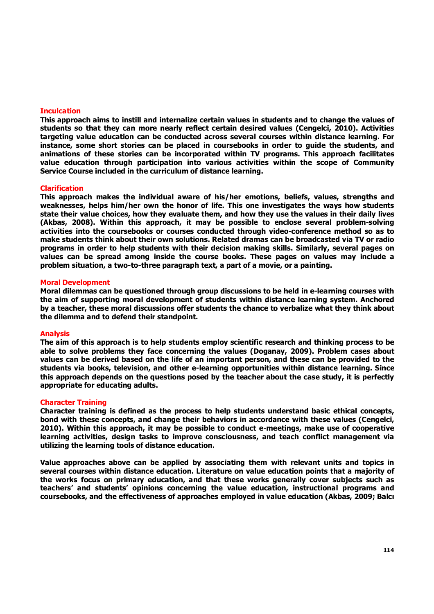#### **Inculcation**

**This approach aims to instill and internalize certain values in students and to change the values of students so that they can more nearly reflect certain desired values (Cengelci, 2010). Activities targeting value education can be conducted across several courses within distance learning. For instance, some short stories can be placed in coursebooks in order to guide the students, and animations of these stories can be incorporated within TV programs. This approach facilitates value education through participation into various activities within the scope of Community Service Course included in the curriculum of distance learning.** 

#### **Clarification**

**This approach makes the individual aware of his/her emotions, beliefs, values, strengths and weaknesses, helps him/her own the honor of life. This one investigates the ways how students state their value choices, how they evaluate them, and how they use the values in their daily lives (Akbas, 2008). Within this approach, it may be possible to enclose several problem-solving activities into the coursebooks or courses conducted through video-conference method so as to make students think about their own solutions. Related dramas can be broadcasted via TV or radio programs in order to help students with their decision making skills. Similarly, several pages on values can be spread among inside the course books. These pages on values may include a problem situation, a two-to-three paragraph text, a part of a movie, or a painting.** 

#### **Moral Development**

**Moral dilemmas can be questioned through group discussions to be held in e-learning courses with the aim of supporting moral development of students within distance learning system. Anchored by a teacher, these moral discussions offer students the chance to verbalize what they think about the dilemma and to defend their standpoint.** 

#### **Analysis**

**The aim of this approach is to help students employ scientific research and thinking process to be able to solve problems they face concerning the values (Doganay, 2009). Problem cases about values can be derived based on the life of an important person, and these can be provided to the students via books, television, and other e-learning opportunities within distance learning. Since this approach depends on the questions posed by the teacher about the case study, it is perfectly appropriate for educating adults.** 

#### **Character Training**

**Character training is defined as the process to help students understand basic ethical concepts, bond with these concepts, and change their behaviors in accordance with these values (Cengelci, 2010). Within this approach, it may be possible to conduct e-meetings, make use of cooperative learning activities, design tasks to improve consciousness, and teach conflict management via utilizing the learning tools of distance education.** 

**Value approaches above can be applied by associating them with relevant units and topics in several courses within distance education. Literature on value education points that a majority of the works focus on primary education, and that these works generally cover subjects such as teachers' and students' opinions concerning the value education, instructional programs and coursebooks, and the effectiveness of approaches employed in value education (Akbas, 2009; Balcı**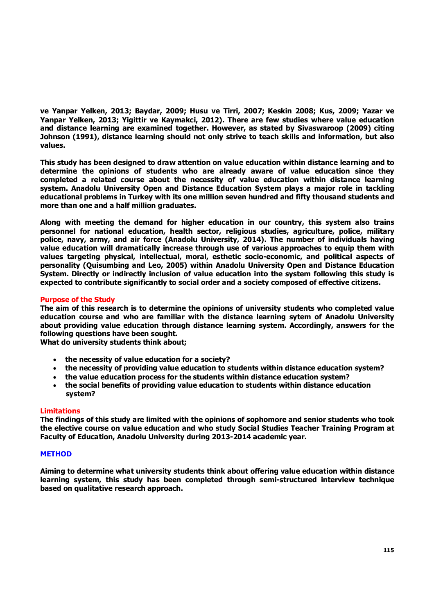**ve Yanpar Yelken, 2013; Baydar, 2009; Husu ve Tirri, 2007; Keskin 2008; Kus, 2009; Yazar ve Yanpar Yelken, 2013; Yigittir ve Kaymakci, 2012). There are few studies where value education and distance learning are examined together. However, as stated by Sivaswaroop (2009) citing Johnson (1991), distance learning should not only strive to teach skills and information, but also values.** 

**This study has been designed to draw attention on value education within distance learning and to determine the opinions of students who are already aware of value education since they completed a related course about the necessity of value education within distance learning system. Anadolu University Open and Distance Education System plays a major role in tackling educational problems in Turkey with its one million seven hundred and fifty thousand students and more than one and a half million graduates.** 

**Along with meeting the demand for higher education in our country, this system also trains personnel for national education, health sector, religious studies, agriculture, police, military police, navy, army, and air force (Anadolu University, 2014). The number of individuals having value education will dramatically increase through use of various approaches to equip them with values targeting physical, intellectual, moral, esthetic socio-economic, and political aspects of personality (Quisumbing and Leo, 2005) within Anadolu University Open and Distance Education System. Directly or indirectly inclusion of value education into the system following this study is expected to contribute significantly to social order and a society composed of effective citizens.**

## **Purpose of the Study**

**The aim of this research is to determine the opinions of university students who completed value education course and who are familiar with the distance learning sytem of Anadolu University about providing value education through distance learning system. Accordingly, answers for the following questions have been sought.**

**What do university students think about;** 

- **the necessity of value education for a society?**
- **the necessity of providing value education to students within distance education system?**
- **the value education process for the students within distance education system?**
- **the social benefits of providing value education to students within distance education system?**

#### **Limitations**

**The findings of this study are limited with the opinions of sophomore and senior students who took the elective course on value education and who study Social Studies Teacher Training Program at Faculty of Education, Anadolu University during 2013-2014 academic year.** 

#### **METHOD**

**Aiming to determine what university students think about offering value education within distance learning system, this study has been completed through semi-structured interview technique based on qualitative research approach.**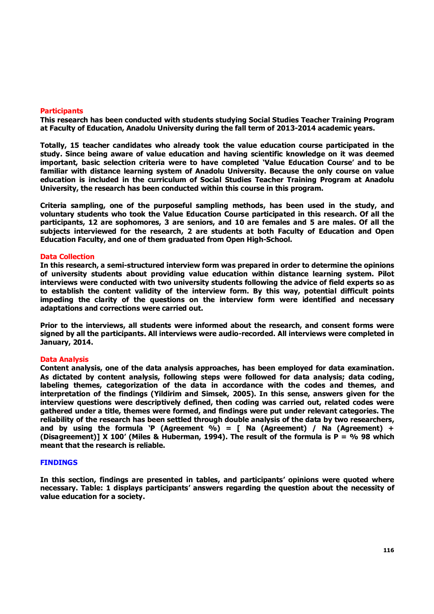#### **Participants**

**This research has been conducted with students studying Social Studies Teacher Training Program at Faculty of Education, Anadolu University during the fall term of 2013-2014 academic years.** 

**Totally, 15 teacher candidates who already took the value education course participated in the study. Since being aware of value education and having scientific knowledge on it was deemed important, basic selection criteria were to have completed 'Value Education Course' and to be familiar with distance learning system of Anadolu University. Because the only course on value education is included in the curriculum of Social Studies Teacher Training Program at Anadolu University, the research has been conducted within this course in this program.** 

**Criteria sampling, one of the purposeful sampling methods, has been used in the study, and voluntary students who took the Value Education Course participated in this research. Of all the participants, 12 are sophomores, 3 are seniors, and 10 are females and 5 are males. Of all the subjects interviewed for the research, 2 are students at both Faculty of Education and Open Education Faculty, and one of them graduated from Open High-School.**

#### **Data Collection**

**In this research, a semi-structured interview form was prepared in order to determine the opinions of university students about providing value education within distance learning system. Pilot interviews were conducted with two university students following the advice of field experts so as to establish the content validity of the interview form. By this way, potential difficult points impeding the clarity of the questions on the interview form were identified and necessary adaptations and corrections were carried out.** 

**Prior to the interviews, all students were informed about the research, and consent forms were signed by all the participants. All interviews were audio-recorded. All interviews were completed in January, 2014.** 

# **Data Analysis**

**Content analysis, one of the data analysis approaches, has been employed for data examination. As dictated by content analysis, following steps were followed for data analysis; data coding, labeling themes, categorization of the data in accordance with the codes and themes, and interpretation of the findings (Yildirim and Simsek, 2005). In this sense, answers given for the interview questions were descriptively defined, then coding was carried out, related codes were gathered under a title, themes were formed, and findings were put under relevant categories. The reliability of the research has been settled through double analysis of the data by two researchers,**  and by using the formula 'P (Agreement  $\%$ ) = [ Na (Agreement) / Na (Agreement) + **(Disagreement)] X 100' (Miles & Huberman, 1994). The result of the formula is P = % 98 which meant that the research is reliable.** 

#### **FINDINGS**

**In this section, findings are presented in tables, and participants' opinions were quoted where necessary. Table: 1 displays participants' answers regarding the question about the necessity of value education for a society.**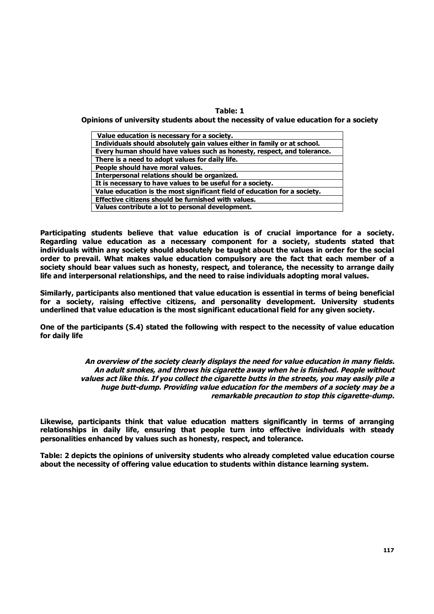# **Table: 1**

**Opinions of university students about the necessity of value education for a society**

| Value education is necessary for a society.                               |
|---------------------------------------------------------------------------|
| Individuals should absolutely gain values either in family or at school.  |
| Every human should have values such as honesty, respect, and tolerance.   |
| There is a need to adopt values for daily life.                           |
| People should have moral values.                                          |
| Interpersonal relations should be organized.                              |
| It is necessary to have values to be useful for a society.                |
| Value education is the most significant field of education for a society. |
| Effective citizens should be furnished with values.                       |
| Values contribute a lot to personal development.                          |

**Participating students believe that value education is of crucial importance for a society. Regarding value education as a necessary component for a society, students stated that individuals within any society should absolutely be taught about the values in order for the social order to prevail. What makes value education compulsory are the fact that each member of a society should bear values such as honesty, respect, and tolerance, the necessity to arrange daily life and interpersonal relationships, and the need to raise individuals adopting moral values.** 

**Similarly, participants also mentioned that value education is essential in terms of being beneficial for a society, raising effective citizens, and personality development. University students underlined that value education is the most significant educational field for any given society.**

**One of the participants (S.4) stated the following with respect to the necessity of value education for daily life** 

> *An overview of the society clearly displays the need for value education in many fields. An adult smokes, and throws his cigarette away when he is finished. People without values act like this. If you collect the cigarette butts in the streets, you may easily pile a huge butt-dump. Providing value education for the members of a society may be a remarkable precaution to stop this cigarette-dump.*

**Likewise, participants think that value education matters significantly in terms of arranging relationships in daily life, ensuring that people turn into effective individuals with steady personalities enhanced by values such as honesty, respect, and tolerance.** 

**Table: 2 depicts the opinions of university students who already completed value education course about the necessity of offering value education to students within distance learning system.**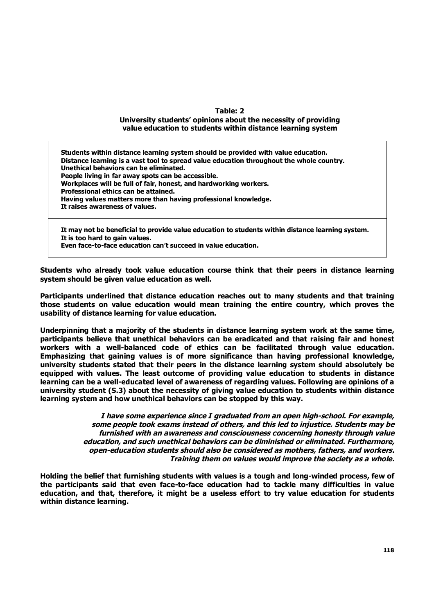# **Table: 2**

#### **University students' opinions about the necessity of providing value education to students within distance learning system**

**Students within distance learning system should be provided with value education. Distance learning is a vast tool to spread value education throughout the whole country. Unethical behaviors can be eliminated. People living in far away spots can be accessible. Workplaces will be full of fair, honest, and hardworking workers. Professional ethics can be attained. Having values matters more than having professional knowledge. It raises awareness of values.**

**It may not be beneficial to provide value education to students within distance learning system. It is too hard to gain values.**

**Even face-to-face education can't succeed in value education.** 

**Students who already took value education course think that their peers in distance learning system should be given value education as well.** 

**Participants underlined that distance education reaches out to many students and that training those students on value education would mean training the entire country, which proves the usability of distance learning for value education.** 

**Underpinning that a majority of the students in distance learning system work at the same time, participants believe that unethical behaviors can be eradicated and that raising fair and honest workers with a well-balanced code of ethics can be facilitated through value education. Emphasizing that gaining values is of more significance than having professional knowledge, university students stated that their peers in the distance learning system should absolutely be equipped with values. The least outcome of providing value education to students in distance learning can be a well-educated level of awareness of regarding values. Following are opinions of a university student (S.3) about the necessity of giving value education to students within distance learning system and how unethical behaviors can be stopped by this way.** 

> *I have some experience since I graduated from an open high-school. For example, some people took exams instead of others, and this led to injustice. Students may be furnished with an awareness and consciousness concerning honesty through value education, and such unethical behaviors can be diminished or eliminated. Furthermore, open-education students should also be considered as mothers, fathers, and workers. Training them on values would improve the society as a whole.*

**Holding the belief that furnishing students with values is a tough and long-winded process, few of the participants said that even face-to-face education had to tackle many difficulties in value education, and that, therefore, it might be a useless effort to try value education for students within distance learning.**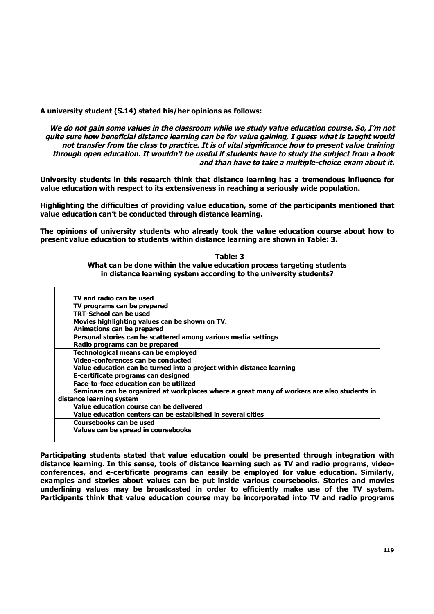**A university student (S.14) stated his/her opinions as follows:**

*We do not gain some values in the classroom while we study value education course. So, I'm not quite sure how beneficial distance learning can be for value gaining, I guess what is taught would not transfer from the class to practice. It is of vital significance how to present value training through open education. It wouldn't be useful if students have to study the subject from a book and than have to take a multiple-choice exam about it.* 

**University students in this research think that distance learning has a tremendous influence for value education with respect to its extensiveness in reaching a seriously wide population.** 

**Highlighting the difficulties of providing value education, some of the participants mentioned that value education can't be conducted through distance learning.** 

**The opinions of university students who already took the value education course about how to present value education to students within distance learning are shown in Table: 3.** 

> **Table: 3 What can be done within the value education process targeting students in distance learning system according to the university students?**

| TV and radio can be used                                                                   |
|--------------------------------------------------------------------------------------------|
| TV programs can be prepared                                                                |
| TRT-School can be used                                                                     |
| Movies highlighting values can be shown on TV.                                             |
| Animations can be prepared                                                                 |
| Personal stories can be scattered among various media settings                             |
| Radio programs can be prepared                                                             |
| Technological means can be employed                                                        |
| Video-conferences can be conducted                                                         |
| Value education can be turned into a project within distance learning                      |
| E-certificate programs can designed                                                        |
| Face-to-face education can be utilized                                                     |
| Seminars can be organized at workplaces where a great many of workers are also students in |
| distance learning system                                                                   |
| Value education course can be delivered                                                    |
| Value education centers can be established in several cities                               |
| Coursebooks can be used                                                                    |
| Values can be spread in coursebooks                                                        |
|                                                                                            |

**Participating students stated that value education could be presented through integration with distance learning. In this sense, tools of distance learning such as TV and radio programs, videoconferences, and e-certificate programs can easily be employed for value education. Similarly, examples and stories about values can be put inside various coursebooks. Stories and movies underlining values may be broadcasted in order to efficiently make use of the TV system. Participants think that value education course may be incorporated into TV and radio programs**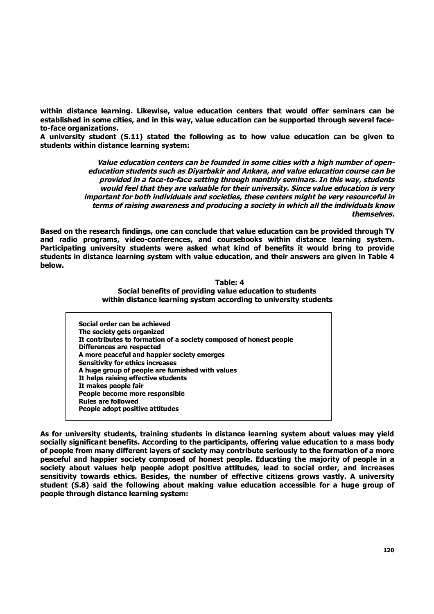**within distance learning. Likewise, value education centers that would offer seminars can be established in some cities, and in this way, value education can be supported through several faceto-face organizations.**

**A university student (S.11) stated the following as to how value education can be given to students within distance learning system:**

> *Value education centers can be founded in some cities with a high number of openeducation students such as Diyarbakir and Ankara, and value education course can be provided in a face-to-face setting through monthly seminars. In this way, students would feel that they are valuable for their university. Since value education is very important for both individuals and societies, these centers might be very resourceful in terms of raising awareness and producing a society in which all the individuals know themselves.*

**Based on the research findings, one can conclude that value education can be provided through TV and radio programs, video-conferences, and coursebooks within distance learning system. Participating university students were asked what kind of benefits it would bring to provide students in distance learning system with value education, and their answers are given in Table 4 below.** 

#### **Table: 4 Social benefits of providing value education to students within distance learning system according to university students**

|                            | Social order can be achieved                                       |
|----------------------------|--------------------------------------------------------------------|
| The society gets organized |                                                                    |
|                            | It contributes to formation of a society composed of honest people |
| Differences are respected  |                                                                    |
|                            | A more peaceful and happier society emerges                        |
|                            | <b>Sensitivity for ethics increases</b>                            |
|                            | A huge group of people are furnished with values                   |
|                            | It helps raising effective students                                |
| It makes people fair       |                                                                    |
|                            | People become more responsible                                     |
| <b>Rules are followed</b>  |                                                                    |
|                            | People adopt positive attitudes                                    |

**As for university students, training students in distance learning system about values may yield socially significant benefits. According to the participants, offering value education to a mass body of people from many different layers of society may contribute seriously to the formation of a more peaceful and happier society composed of honest people. Educating the majority of people in a society about values help people adopt positive attitudes, lead to social order, and increases sensitivity towards ethics. Besides, the number of effective citizens grows vastly. A university student (S.8) said the following about making value education accessible for a huge group of people through distance learning system:**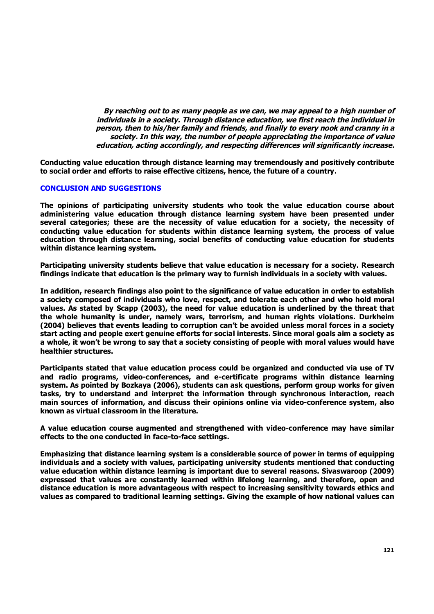*By reaching out to as many people as we can, we may appeal to a high number of individuals in a society. Through distance education, we first reach the individual in person, then to his/her family and friends, and finally to every nook and cranny in a society. In this way, the number of people appreciating the importance of value education, acting accordingly, and respecting differences will significantly increase.* 

**Conducting value education through distance learning may tremendously and positively contribute to social order and efforts to raise effective citizens, hence, the future of a country.** 

## **CONCLUSION AND SUGGESTIONS**

**The opinions of participating university students who took the value education course about administering value education through distance learning system have been presented under several categories; these are the necessity of value education for a society, the necessity of conducting value education for students within distance learning system, the process of value education through distance learning, social benefits of conducting value education for students within distance learning system.**

**Participating university students believe that value education is necessary for a society. Research findings indicate that education is the primary way to furnish individuals in a society with values.**

**In addition, research findings also point to the significance of value education in order to establish a society composed of individuals who love, respect, and tolerate each other and who hold moral values. As stated by Scapp (2003), the need for value education is underlined by the threat that the whole humanity is under, namely wars, terrorism, and human rights violations. Durkheim (2004) believes that events leading to corruption can't be avoided unless moral forces in a society start acting and people exert genuine efforts for social interests. Since moral goals aim a society as a whole, it won't be wrong to say that a society consisting of people with moral values would have healthier structures.** 

**Participants stated that value education process could be organized and conducted via use of TV and radio programs, video-conferences, and e-certificate programs within distance learning system. As pointed by Bozkaya (2006), students can ask questions, perform group works for given tasks, try to understand and interpret the information through synchronous interaction, reach main sources of information, and discuss their opinions online via video-conference system, also known as virtual classroom in the literature.** 

**A value education course augmented and strengthened with video-conference may have similar effects to the one conducted in face-to-face settings.** 

**Emphasizing that distance learning system is a considerable source of power in terms of equipping individuals and a society with values, participating university students mentioned that conducting value education within distance learning is important due to several reasons. Sivaswaroop (2009) expressed that values are constantly learned within lifelong learning, and therefore, open and distance education is more advantageous with respect to increasing sensitivity towards ethics and values as compared to traditional learning settings. Giving the example of how national values can**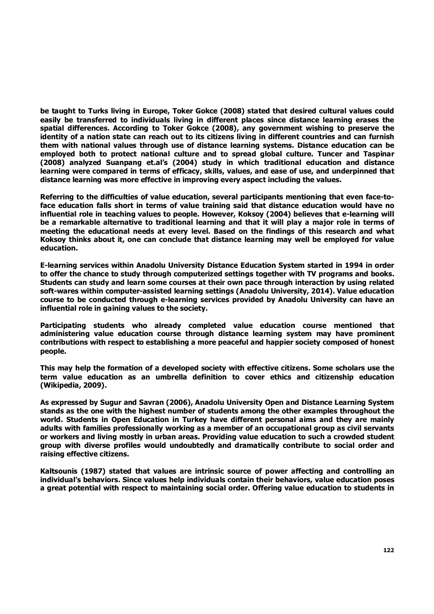**be taught to Turks living in Europe, Toker Gokce (2008) stated that desired cultural values could easily be transferred to individuals living in different places since distance learning erases the spatial differences. According to Toker Gokce (2008), any government wishing to preserve the identity of a nation state can reach out to its citizens living in different countries and can furnish them with national values through use of distance learning systems. Distance education can be employed both to protect national culture and to spread global culture. Tuncer and Taspinar (2008) analyzed Suanpang et.al's (2004) study in which traditional education and distance learning were compared in terms of efficacy, skills, values, and ease of use, and underpinned that distance learning was more effective in improving every aspect including the values.** 

**Referring to the difficulties of value education, several participants mentioning that even face-toface education falls short in terms of value training said that distance education would have no influential role in teaching values to people. However, Koksoy (2004) believes that e-learning will be a remarkable alternative to traditional learning and that it will play a major role in terms of meeting the educational needs at every level. Based on the findings of this research and what Koksoy thinks about it, one can conclude that distance learning may well be employed for value education.** 

**E-learning services within Anadolu University Distance Education System started in 1994 in order to offer the chance to study through computerized settings together with TV programs and books. Students can study and learn some courses at their own pace through interaction by using related soft-wares within computer-assisted learning settings (Anadolu University, 2014). Value education course to be conducted through e-learning services provided by Anadolu University can have an influential role in gaining values to the society.** 

**Participating students who already completed value education course mentioned that administering value education course through distance learning system may have prominent contributions with respect to establishing a more peaceful and happier society composed of honest people.** 

**This may help the formation of a developed society with effective citizens. Some scholars use the term value education as an umbrella definition to cover ethics and citizenship education (Wikipedia, 2009).** 

**As expressed by Sugur and Savran (2006), Anadolu University Open and Distance Learning System stands as the one with the highest number of students among the other examples throughout the world. Students in Open Education in Turkey have different personal aims and they are mainly adults with families professionally working as a member of an occupational group as civil servants or workers and living mostly in urban areas. Providing value education to such a crowded student group with diverse profiles would undoubtedly and dramatically contribute to social order and raising effective citizens.** 

**Kaltsounis (1987) stated that values are intrinsic source of power affecting and controlling an individual's behaviors. Since values help individuals contain their behaviors, value education poses a great potential with respect to maintaining social order. Offering value education to students in**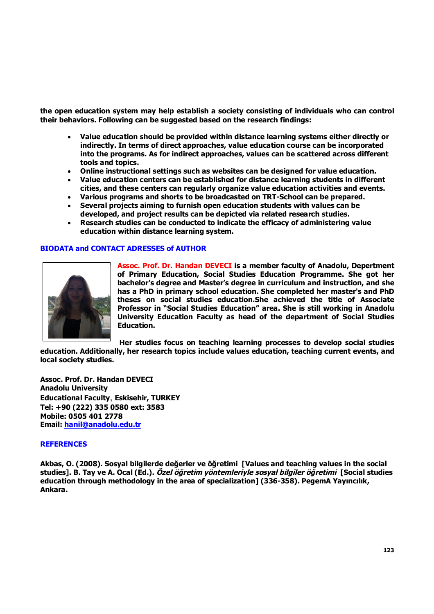**the open education system may help establish a society consisting of individuals who can control their behaviors. Following can be suggested based on the research findings:**

- **Value education should be provided within distance learning systems either directly or indirectly. In terms of direct approaches, value education course can be incorporated into the programs. As for indirect approaches, values can be scattered across different tools and topics.**
- **Online instructional settings such as websites can be designed for value education.**
- **Value education centers can be established for distance learning students in different cities, and these centers can regularly organize value education activities and events.**
- **Various programs and shorts to be broadcasted on TRT-School can be prepared.**
- **Several projects aiming to furnish open education students with values can be developed, and project results can be depicted via related research studies.**
- **Research studies can be conducted to indicate the efficacy of administering value education within distance learning system.**

# **BIODATA and CONTACT ADRESSES of AUTHOR**



**Assoc. Prof. Dr. Handan DEVECI is a member faculty of Anadolu, Depertment of Primary Education, Social Studies Education Programme. She got her bachelor's degree and Master's degree in curriculum and instruction, and she has a PhD in primary school education. She completed her master's and PhD theses on social studies education.She achieved the title of Associate Professor in "Social Studies Education" area. She is still working in Anadolu University Education Faculty as head of the department of Social Studies Education.**

**Her studies focus on teaching learning processes to develop social studies** 

**education. Additionally, her research topics include values education, teaching current events, and local society studies.**

**Assoc. Prof. Dr. Handan DEVECI Anadolu University Educational Faculty**, **Eskisehir, TURKEY Tel: +90 (222) 335 0580 ext: 3583 Mobile: 0505 401 2778 Email: hanil@anadolu.edu.tr**

#### **REFERENCES**

**Akbas, O. (2008). Sosyal bilgilerde değerler ve öğretimi [Values and teaching values in the social studies]. B. Tay ve A. Ocal (Ed.).** *Özel öğretim yöntemleriyle sosyal bilgiler öğretimi* **[Social studies education through methodology in the area of specialization] (336-358)***.* **PegemA Yayıncılık, Ankara.**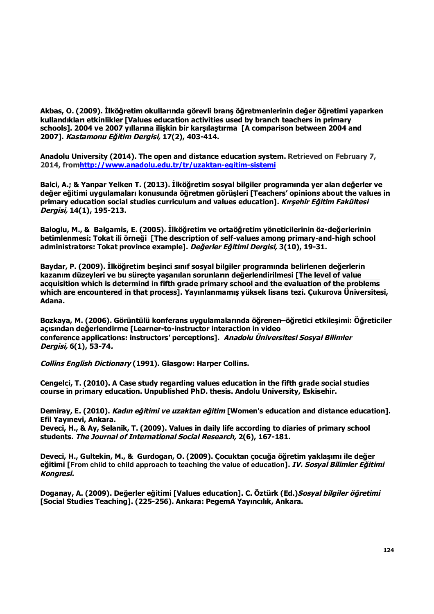**Akbas, O. (2009). İlköğretim okullarında görevli branş öğretmenlerinin değer öğretimi yaparken kullandıkları etkinlikler [Values education activities used by branch teachers in primary schools]. 2004 ve 2007 yıllarına ilişkin bir karşılaştırma [A comparison between 2004 and 2007].** *Kastamonu Eğitim Dergisi,* **17(2), 403-414.**

**Anadolu University (2014). The open and distance education system. Retrieved on February 7, 2014, fromhttp://www.anadolu.edu.tr/tr/uzaktan-egitim-sistemi**

**Balci, A.; & Yanpar Yelken T. (2013). İlköğretim sosyal bilgiler programında yer alan değerler ve değer eğitimi uygulamaları konusunda öğretmen görüşleri [Teachers' opinions about the values in primary education social studies curriculum and values education].** *Kırşehir Eğitim Fakültesi Dergisi,* **14(1), 195-213.**

**Baloglu, M., & Balgamis, E. (2005). İlköğretim ve ortaöğretim yöneticilerinin öz-değerlerinin betimlenmesi: Tokat ili örneği [The description of self-values among primary-and-high school administrators: Tokat province example].** *Değerler Eğitimi Dergisi,* **3(10), 19-31.**

**Baydar, P. (2009). İlköğretim beşinci sınıf sosyal bilgiler programında belirlenen değerlerin kazanım düzeyleri ve bu süreçte yaşanılan sorunların değerlendirilmesi [The level of value acquisition which is determind in fifth grade primary school and the evaluation of the problems which are encountered in that process]. Yayınlanmamış yüksek lisans tezi. Çukurova Üniversitesi, Adana.**

**Bozkaya, M. (2006). Görüntülü konferans uygulamalarında öğrenen–öğretici etkileşimi: Öğreticiler açısından değerlendirme [Learner-to-instructor interaction in video conference applications: instructors' perceptions].** *Anadolu Üniversitesi Sosyal Bilimler Dergisi,* **6(1), 53-74***.*

*Collins English Dictionary* **(1991). Glasgow: Harper Collins.**

**Cengelci, T. (2010). A Case study regarding values education in the fifth grade social studies course in primary education. Unpublished PhD. thesis. Andolu University, Eskisehir.**

**Demiray, E. (2010).** *Kadın eğitimi ve uzaktan eğitim* **[Women's education and distance education]. Efil Yayınevi, Ankara.**

**Deveci, H., & Ay, Selanik, T. (2009). Values in daily life according to diaries of primary school students.** *The Journal of International Social Research,* **2(6), 167-181.**

**Deveci, H., Gultekin, M., & Gurdogan, O. (2009). Çocuktan çocuğa öğretim yaklaşımı ile değer eğitimi [From child to child approach to teaching the value of education].** *IV. Sosyal Bilimler Eğitimi Kongresi.*

**Doganay, A. (2009). Değerler eğitimi [Values education]. C. Öztürk (Ed.)***Sosyal bilgiler öğretimi* **[Social Studies Teaching]. (225-256). Ankara: PegemA Yayıncılık, Ankara.**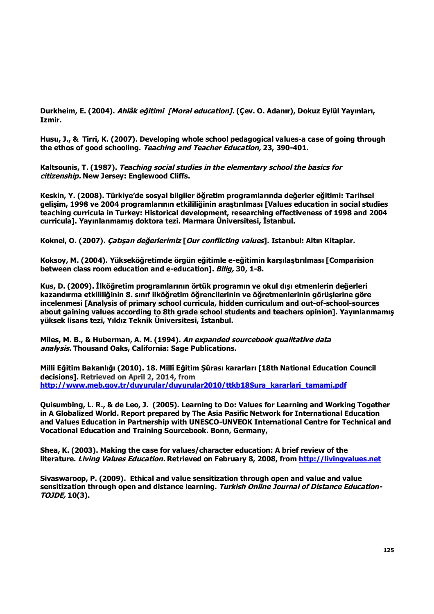**Durkheim, E. (2004).** *Ahlâk eğitimi [Moral education].* **(Çev. O. Adanır), Dokuz Eylül Yayınları, Izmir.**

**Husu, J., & Tirri, K. (2007). Developing whole school pedagogical values-a case of going through the ethos of good schooling.** *Teaching and Teacher Education,* **23, 390-401.**

**Kaltsounis, T. (1987).** *Teaching social studies in the elementary school the basics for citizenship.* **New Jersey: Englewood Cliffs.**

**Keskin, Y. (2008). Türkiye'de sosyal bilgiler öğretim programlarında değerler eğitimi: Tarihsel gelişim, 1998 ve 2004 programlarının etkililiğinin araştırılması [Values education in social studies teaching curricula in Turkey: Historical development, researching effectiveness of 1998 and 2004 curricula]. Yayınlanmamış doktora tezi. Marmara Üniversitesi, İstanbul.**

**Koknel, O. (2007).** *Çatışan değerlerimiz* **[***Our conflicting values***]. Istanbul: Altın Kitaplar.**

**Koksoy, M. (2004). Yükseköğretimde örgün eğitimle e-eğitimin karşılaştırılması [Comparision between class room education and e-education].** *Bilig,* **30, 1-8.**

**Kus, D. (2009). İlköğretim programlarının örtük programın ve okul dışı etmenlerin değerleri kazandırma etkililiğinin 8. sınıf ilköğretim öğrencilerinin ve öğretmenlerinin görüşlerine göre incelenmesi [Analysis of primary school curricula, hidden curriculum and out-of-school-sources about gaining values according to 8th grade school students and teachers opinion]. Yayınlanmamış yüksek lisans tezi, Yıldız Teknik Üniversitesi, İstanbul.**

**Miles, M. B., & Huberman, A. M. (1994).** *An expanded sourcebook qualitative data analysis.* **Thousand Oaks, California: Sage Publications.**

**Milli Eğitim Bakanlığı (2010). 18. Millî Eğitim Şûrası kararları [18th National Education Council decisions]. Retrieved on April 2, 2014, from http://www.meb.gov.tr/duyurular/duyurular2010/ttkb18Sura\_kararlari\_tamami.pdf**

**Quisumbing, L. R., & de Leo, J. (2005). Learning to Do: Values for Learning and Working Together in A Globalized World. Report prepared by The Asia Pasific Network for International Education and Values Education in Partnership with UNESCO-UNVEOK International Centre for Technical and Vocational Education and Training Sourcebook. Bonn, Germany,**

**Shea, K. (2003). Making the case for values/character education: A brief review of the literature.** *Living Values Education.* **Retrieved on February 8, 2008, from http://livingvalues.net**

**Sivaswaroop, P. (2009). Ethical and value sensitization through open and value and value sensitization through open and distance learning.** *Turkish Online Journal of Distance Education-TOJDE,* **10(3).**